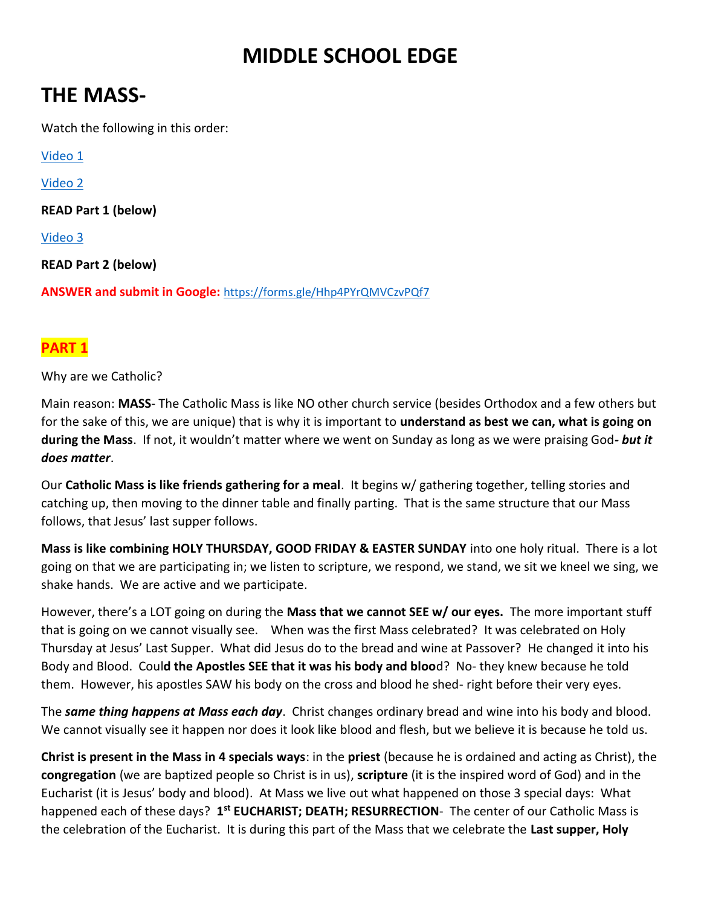# **MIDDLE SCHOOL EDGE**

# **THE MASS-**

Watch the following in this order:

[Video 1](https://www.youtube.com/watch?v=ASeGRlghLBM)

[Video 2](https://www.youtube.com/watch?v=xbBNX5tsiuo)

**READ Part 1 (below)**

[Video 3](https://www.youtube.com/watch?v=XuixRzjkyro)

**READ Part 2 (below)**

**ANSWER and submit in Google:** <https://forms.gle/Hhp4PYrQMVCzvPQf7>

### **PART 1**

Why are we Catholic?

Main reason: **MASS**- The Catholic Mass is like NO other church service (besides Orthodox and a few others but for the sake of this, we are unique) that is why it is important to **understand as best we can, what is going on during the Mass**. If not, it wouldn't matter where we went on Sunday as long as we were praising God*- but it does matter*.

Our **Catholic Mass is like friends gathering for a meal**. It begins w/ gathering together, telling stories and catching up, then moving to the dinner table and finally parting. That is the same structure that our Mass follows, that Jesus' last supper follows.

**Mass is like combining HOLY THURSDAY, GOOD FRIDAY & EASTER SUNDAY** into one holy ritual. There is a lot going on that we are participating in; we listen to scripture, we respond, we stand, we sit we kneel we sing, we shake hands. We are active and we participate.

However, there's a LOT going on during the **Mass that we cannot SEE w/ our eyes.** The more important stuff that is going on we cannot visually see. When was the first Mass celebrated? It was celebrated on Holy Thursday at Jesus' Last Supper. What did Jesus do to the bread and wine at Passover? He changed it into his Body and Blood. Coul**d the Apostles SEE that it was his body and bloo**d? No- they knew because he told them. However, his apostles SAW his body on the cross and blood he shed- right before their very eyes.

The *same thing happens at Mass each day*. Christ changes ordinary bread and wine into his body and blood. We cannot visually see it happen nor does it look like blood and flesh, but we believe it is because he told us.

**Christ is present in the Mass in 4 specials ways**: in the **priest** (because he is ordained and acting as Christ), the **congregation** (we are baptized people so Christ is in us), **scripture** (it is the inspired word of God) and in the Eucharist (it is Jesus' body and blood). At Mass we live out what happened on those 3 special days: What happened each of these days? 1<sup>st</sup> EUCHARIST; DEATH; RESURRECTION- The center of our Catholic Mass is the celebration of the Eucharist. It is during this part of the Mass that we celebrate the **Last supper, Holy**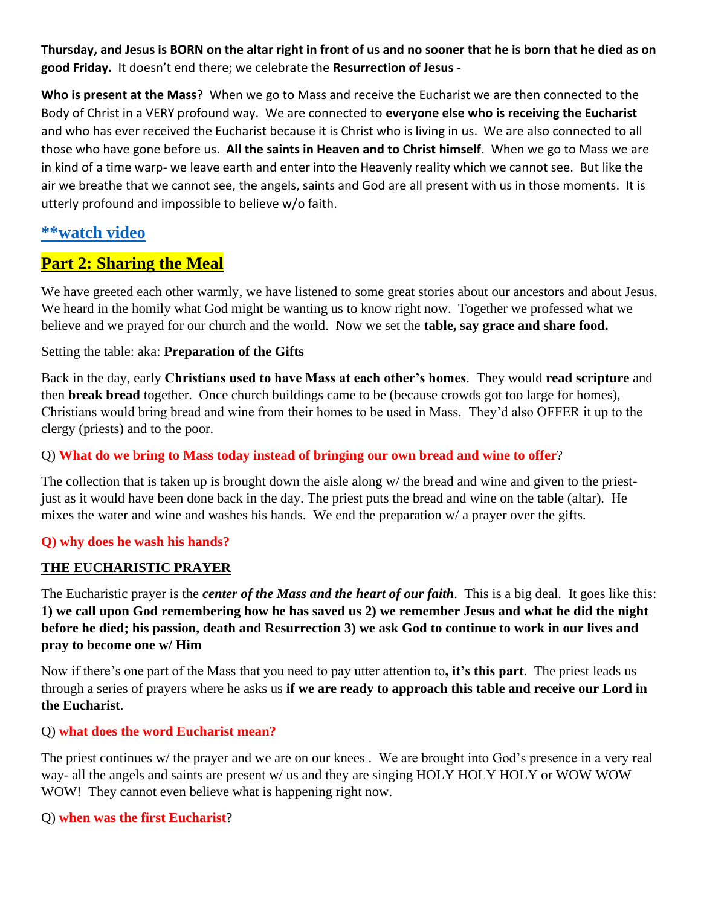**Thursday, and Jesus is BORN on the altar right in front of us and no sooner that he is born that he died as on good Friday.** It doesn't end there; we celebrate the **Resurrection of Jesus** -

**Who is present at the Mass**? When we go to Mass and receive the Eucharist we are then connected to the Body of Christ in a VERY profound way. We are connected to **everyone else who is receiving the Eucharist** and who has ever received the Eucharist because it is Christ who is living in us. We are also connected to all those who have gone before us. **All the saints in Heaven and to Christ himself**. When we go to Mass we are in kind of a time warp- we leave earth and enter into the Heavenly reality which we cannot see. But like the air we breathe that we cannot see, the angels, saints and God are all present with us in those moments. It is utterly profound and impossible to believe w/o faith.

### **[\\*\\*watch video](https://www.youtube.com/watch?v=XuixRzjkyro)**

## **Part 2: Sharing the Meal**

We have greeted each other warmly, we have listened to some great stories about our ancestors and about Jesus. We heard in the homily what God might be wanting us to know right now. Together we professed what we believe and we prayed for our church and the world. Now we set the **table, say grace and share food.**

#### Setting the table: aka: **Preparation of the Gifts**

Back in the day, early **Christians used to have Mass at each other's homes**. They would **read scripture** and then **break bread** together. Once church buildings came to be (because crowds got too large for homes), Christians would bring bread and wine from their homes to be used in Mass. They'd also OFFER it up to the clergy (priests) and to the poor.

#### Q) **What do we bring to Mass today instead of bringing our own bread and wine to offer**?

The collection that is taken up is brought down the aisle along w/ the bread and wine and given to the priestjust as it would have been done back in the day. The priest puts the bread and wine on the table (altar). He mixes the water and wine and washes his hands. We end the preparation w/ a prayer over the gifts.

#### **Q) why does he wash his hands?**

#### **THE EUCHARISTIC PRAYER**

The Eucharistic prayer is the *center of the Mass and the heart of our faith*. This is a big deal. It goes like this: **1) we call upon God remembering how he has saved us 2) we remember Jesus and what he did the night before he died; his passion, death and Resurrection 3) we ask God to continue to work in our lives and pray to become one w/ Him**

Now if there's one part of the Mass that you need to pay utter attention to**, it's this part**. The priest leads us through a series of prayers where he asks us **if we are ready to approach this table and receive our Lord in the Eucharist**.

#### Q) **what does the word Eucharist mean?**

The priest continues w/ the prayer and we are on our knees . We are brought into God's presence in a very real way- all the angels and saints are present w/ us and they are singing HOLY HOLY HOLY or WOW WOW WOW! They cannot even believe what is happening right now.

#### Q) **when was the first Eucharist**?